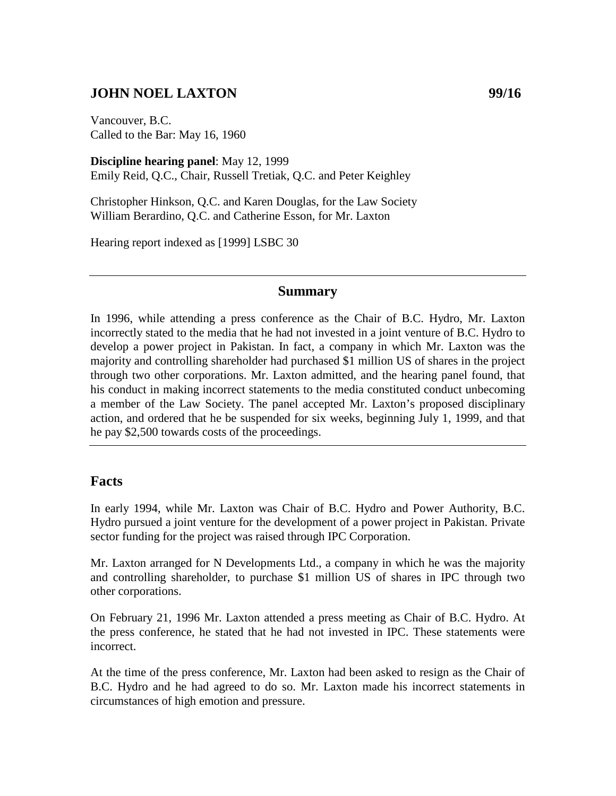## **JOHN NOEL LAXTON** 99/16

Vancouver, B.C. Called to the Bar: May 16, 1960

**Discipline hearing panel**: May 12, 1999 Emily Reid, Q.C., Chair, Russell Tretiak, Q.C. and Peter Keighley

Christopher Hinkson, Q.C. and Karen Douglas, for the Law Society William Berardino, Q.C. and Catherine Esson, for Mr. Laxton

Hearing report indexed as [1999] LSBC 30

#### **Summary**

In 1996, while attending a press conference as the Chair of B.C. Hydro, Mr. Laxton incorrectly stated to the media that he had not invested in a joint venture of B.C. Hydro to develop a power project in Pakistan. In fact, a company in which Mr. Laxton was the majority and controlling shareholder had purchased \$1 million US of shares in the project through two other corporations. Mr. Laxton admitted, and the hearing panel found, that his conduct in making incorrect statements to the media constituted conduct unbecoming a member of the Law Society. The panel accepted Mr. Laxton's proposed disciplinary action, and ordered that he be suspended for six weeks, beginning July 1, 1999, and that he pay \$2,500 towards costs of the proceedings.

### **Facts**

In early 1994, while Mr. Laxton was Chair of B.C. Hydro and Power Authority, B.C. Hydro pursued a joint venture for the development of a power project in Pakistan. Private sector funding for the project was raised through IPC Corporation.

Mr. Laxton arranged for N Developments Ltd., a company in which he was the majority and controlling shareholder, to purchase \$1 million US of shares in IPC through two other corporations.

On February 21, 1996 Mr. Laxton attended a press meeting as Chair of B.C. Hydro. At the press conference, he stated that he had not invested in IPC. These statements were incorrect.

At the time of the press conference, Mr. Laxton had been asked to resign as the Chair of B.C. Hydro and he had agreed to do so. Mr. Laxton made his incorrect statements in circumstances of high emotion and pressure.